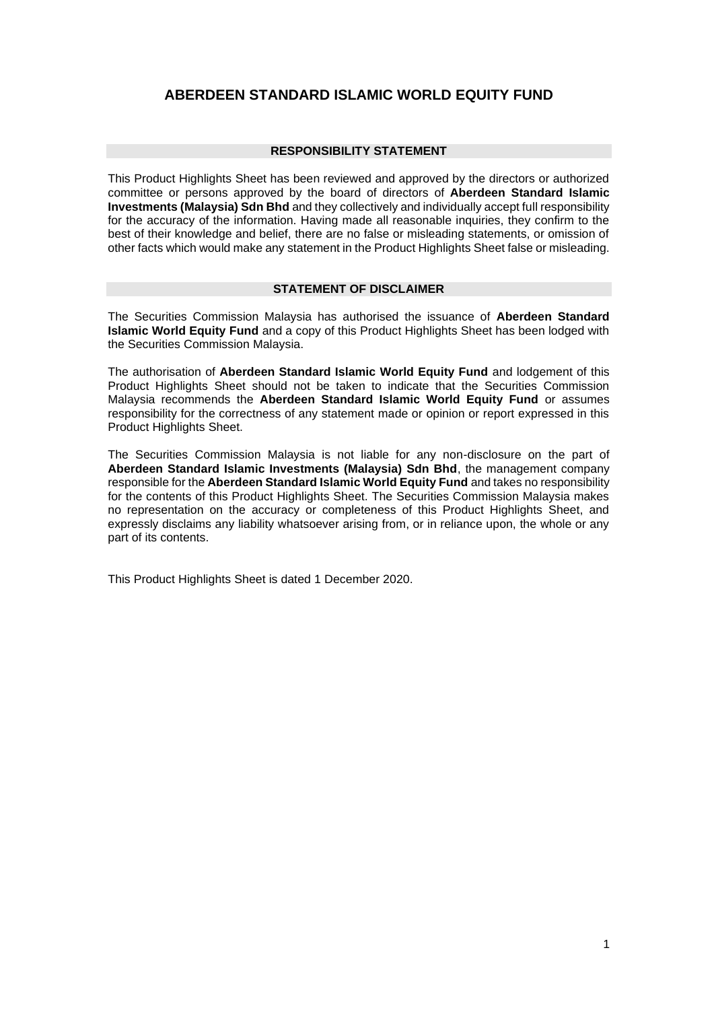# **ABERDEEN STANDARD ISLAMIC WORLD EQUITY FUND**

#### **RESPONSIBILITY STATEMENT**

This Product Highlights Sheet has been reviewed and approved by the directors or authorized committee or persons approved by the board of directors of **Aberdeen Standard Islamic Investments (Malaysia) Sdn Bhd** and they collectively and individually accept full responsibility for the accuracy of the information. Having made all reasonable inquiries, they confirm to the best of their knowledge and belief, there are no false or misleading statements, or omission of other facts which would make any statement in the Product Highlights Sheet false or misleading.

#### **STATEMENT OF DISCLAIMER**

The Securities Commission Malaysia has authorised the issuance of **Aberdeen Standard Islamic World Equity Fund** and a copy of this Product Highlights Sheet has been lodged with the Securities Commission Malaysia.

The authorisation of **Aberdeen Standard Islamic World Equity Fund** and lodgement of this Product Highlights Sheet should not be taken to indicate that the Securities Commission Malaysia recommends the **Aberdeen Standard Islamic World Equity Fund** or assumes responsibility for the correctness of any statement made or opinion or report expressed in this Product Highlights Sheet.

The Securities Commission Malaysia is not liable for any non-disclosure on the part of **Aberdeen Standard Islamic Investments (Malaysia) Sdn Bhd**, the management company responsible for the **Aberdeen Standard Islamic World Equity Fund** and takes no responsibility for the contents of this Product Highlights Sheet. The Securities Commission Malaysia makes no representation on the accuracy or completeness of this Product Highlights Sheet, and expressly disclaims any liability whatsoever arising from, or in reliance upon, the whole or any part of its contents.

This Product Highlights Sheet is dated 1 December 2020.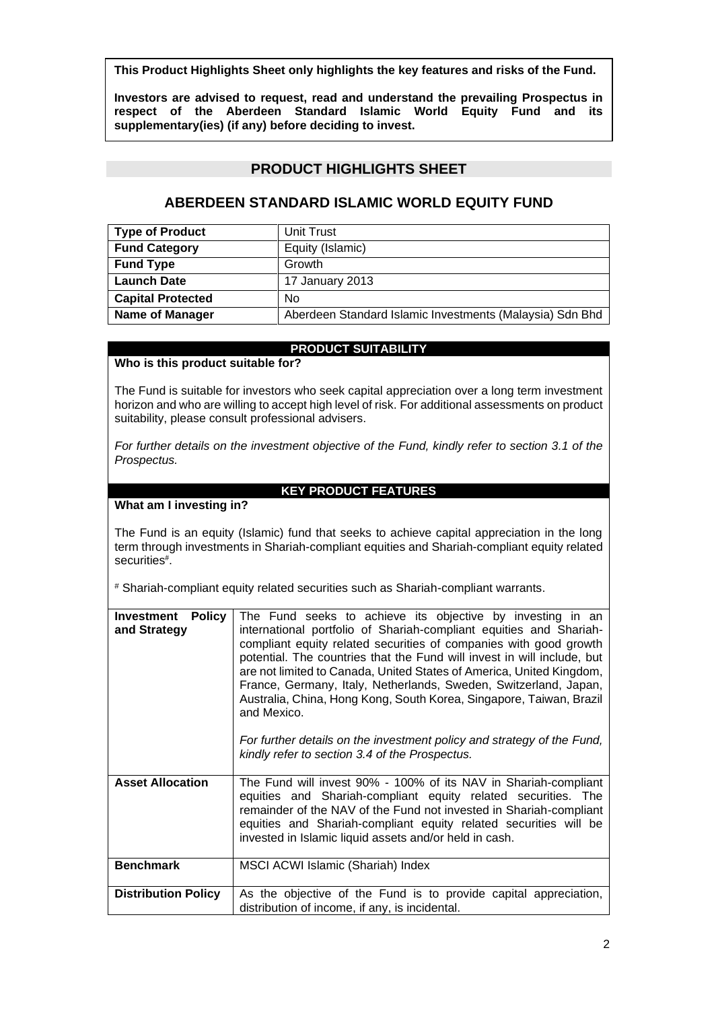**This Product Highlights Sheet only highlights the key features and risks of the Fund.** 

**Investors are advised to request, read and understand the prevailing Prospectus in respect of the Aberdeen Standard Islamic World Equity Fund and its supplementary(ies) (if any) before deciding to invest.**

# **PRODUCT HIGHLIGHTS SHEET**

# **ABERDEEN STANDARD ISLAMIC WORLD EQUITY FUND**

| <b>Type of Product</b>   | Unit Trust                                               |
|--------------------------|----------------------------------------------------------|
| <b>Fund Category</b>     | Equity (Islamic)                                         |
| <b>Fund Type</b>         | Growth                                                   |
| <b>Launch Date</b>       | 17 January 2013                                          |
| <b>Capital Protected</b> | <b>No</b>                                                |
| <b>Name of Manager</b>   | Aberdeen Standard Islamic Investments (Malaysia) Sdn Bhd |

# **PRODUCT SUITABILITY**

# **Who is this product suitable for?**

The Fund is suitable for investors who seek capital appreciation over a long term investment horizon and who are willing to accept high level of risk. For additional assessments on product suitability, please consult professional advisers.

*For further details on the investment objective of the Fund, kindly refer to section 3.1 of the Prospectus.*

# **KEY PRODUCT FEATURES**

## **What am I investing in?**

The Fund is an equity (Islamic) fund that seeks to achieve capital appreciation in the long term through investments in Shariah-compliant equities and Shariah-compliant equity related securities# .

# Shariah-compliant equity related securities such as Shariah-compliant warrants.

| Policy<br>Investment<br>and Strategy | The Fund seeks to achieve its objective by investing in an<br>international portfolio of Shariah-compliant equities and Shariah-<br>compliant equity related securities of companies with good growth<br>potential. The countries that the Fund will invest in will include, but<br>are not limited to Canada, United States of America, United Kingdom,<br>France, Germany, Italy, Netherlands, Sweden, Switzerland, Japan,<br>Australia, China, Hong Kong, South Korea, Singapore, Taiwan, Brazil<br>and Mexico.<br>For further details on the investment policy and strategy of the Fund,<br>kindly refer to section 3.4 of the Prospectus. |
|--------------------------------------|------------------------------------------------------------------------------------------------------------------------------------------------------------------------------------------------------------------------------------------------------------------------------------------------------------------------------------------------------------------------------------------------------------------------------------------------------------------------------------------------------------------------------------------------------------------------------------------------------------------------------------------------|
| <b>Asset Allocation</b>              | The Fund will invest 90% - 100% of its NAV in Shariah-compliant<br>equities and Shariah-compliant equity related securities. The<br>remainder of the NAV of the Fund not invested in Shariah-compliant<br>equities and Shariah-compliant equity related securities will be<br>invested in Islamic liquid assets and/or held in cash.                                                                                                                                                                                                                                                                                                           |
| <b>Benchmark</b>                     | MSCI ACWI Islamic (Shariah) Index                                                                                                                                                                                                                                                                                                                                                                                                                                                                                                                                                                                                              |
| <b>Distribution Policy</b>           | As the objective of the Fund is to provide capital appreciation,<br>distribution of income, if any, is incidental.                                                                                                                                                                                                                                                                                                                                                                                                                                                                                                                             |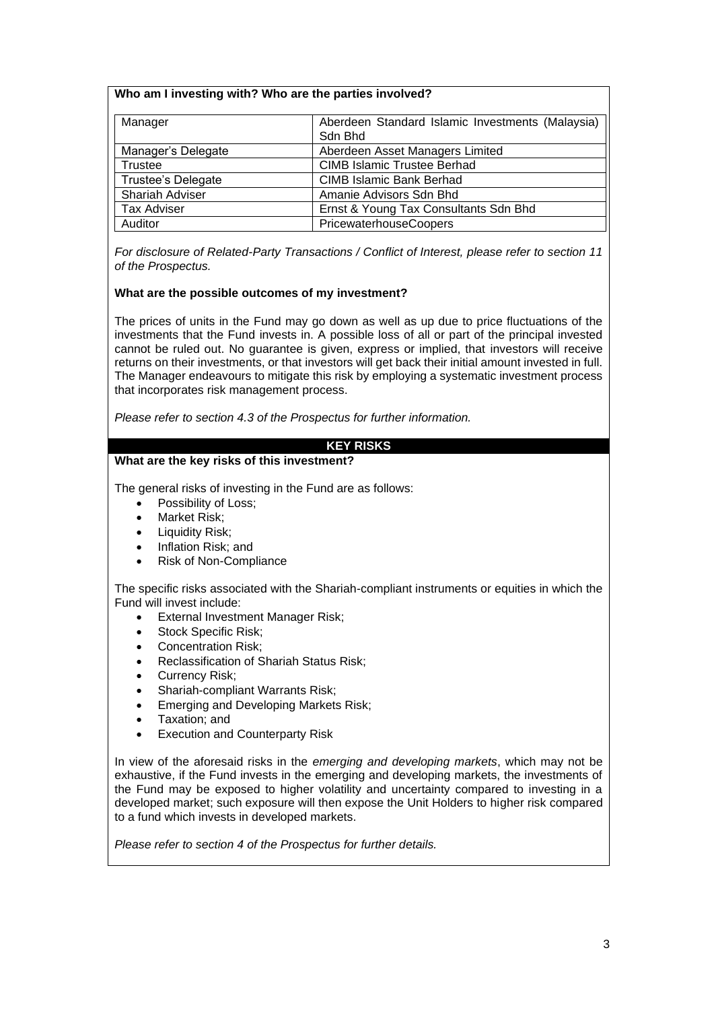### **Who am I investing with? Who are the parties involved?**

| Manager            | Aberdeen Standard Islamic Investments (Malaysia) |
|--------------------|--------------------------------------------------|
|                    | Sdn Bhd                                          |
| Manager's Delegate | Aberdeen Asset Managers Limited                  |
| Trustee            | <b>CIMB Islamic Trustee Berhad</b>               |
| Trustee's Delegate | <b>CIMB Islamic Bank Berhad</b>                  |
| Shariah Adviser    | Amanie Advisors Sdn Bhd                          |
| <b>Tax Adviser</b> | Ernst & Young Tax Consultants Sdn Bhd            |
| Auditor            | PricewaterhouseCoopers                           |

*For disclosure of Related-Party Transactions / Conflict of Interest, please refer to section 11 of the Prospectus.*

### **What are the possible outcomes of my investment?**

The prices of units in the Fund may go down as well as up due to price fluctuations of the investments that the Fund invests in. A possible loss of all or part of the principal invested cannot be ruled out. No guarantee is given, express or implied, that investors will receive returns on their investments, or that investors will get back their initial amount invested in full. The Manager endeavours to mitigate this risk by employing a systematic investment process that incorporates risk management process.

*Please refer to section 4.3 of the Prospectus for further information.*

# **KEY RISKS**

### **What are the key risks of this investment?**

The general risks of investing in the Fund are as follows:

- Possibility of Loss:
- Market Risk:
- Liquidity Risk;
- Inflation Risk; and
- Risk of Non-Compliance

The specific risks associated with the Shariah-compliant instruments or equities in which the Fund will invest include:

- External Investment Manager Risk;
- Stock Specific Risk:
- Concentration Risk;
- Reclassification of Shariah Status Risk;
- Currency Risk;
- Shariah-compliant Warrants Risk;
- Emerging and Developing Markets Risk;
- Taxation; and
- **Execution and Counterparty Risk**

In view of the aforesaid risks in the *emerging and developing markets*, which may not be exhaustive, if the Fund invests in the emerging and developing markets, the investments of the Fund may be exposed to higher volatility and uncertainty compared to investing in a developed market; such exposure will then expose the Unit Holders to higher risk compared to a fund which invests in developed markets.

*Please refer to section 4 of the Prospectus for further details.*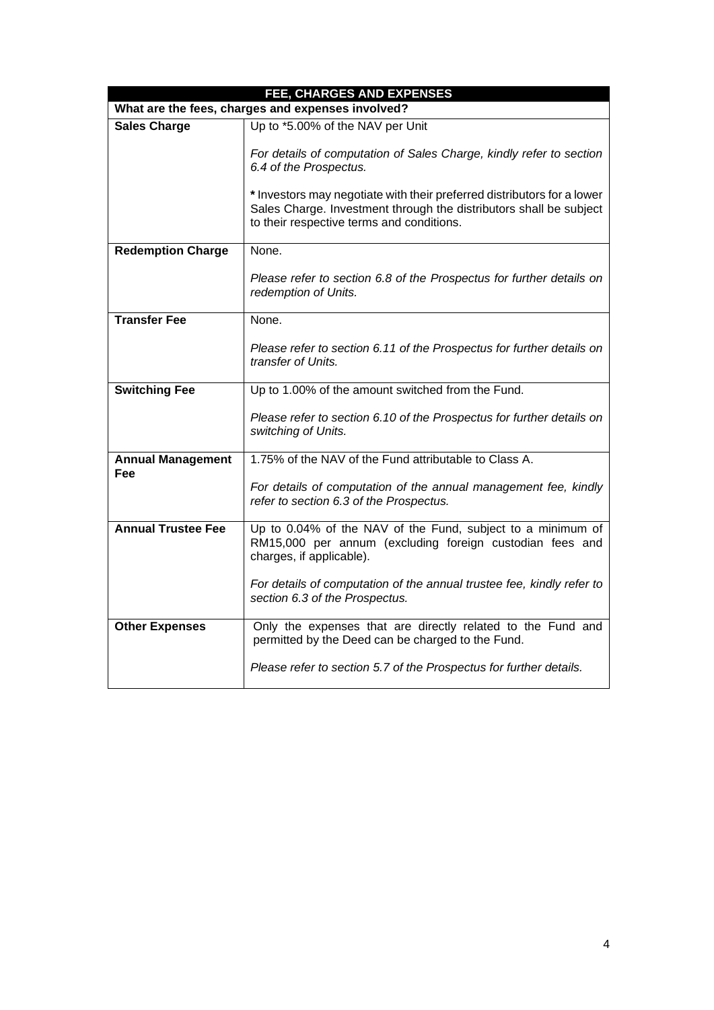| FEE, CHARGES AND EXPENSES                         |                                                                                                                                                                                            |  |
|---------------------------------------------------|--------------------------------------------------------------------------------------------------------------------------------------------------------------------------------------------|--|
| What are the fees, charges and expenses involved? |                                                                                                                                                                                            |  |
| <b>Sales Charge</b>                               | Up to *5.00% of the NAV per Unit                                                                                                                                                           |  |
|                                                   | For details of computation of Sales Charge, kindly refer to section<br>6.4 of the Prospectus.                                                                                              |  |
|                                                   | * Investors may negotiate with their preferred distributors for a lower<br>Sales Charge. Investment through the distributors shall be subject<br>to their respective terms and conditions. |  |
| <b>Redemption Charge</b>                          | None.                                                                                                                                                                                      |  |
|                                                   | Please refer to section 6.8 of the Prospectus for further details on<br>redemption of Units.                                                                                               |  |
| <b>Transfer Fee</b>                               | None.                                                                                                                                                                                      |  |
|                                                   | Please refer to section 6.11 of the Prospectus for further details on<br>transfer of Units.                                                                                                |  |
| <b>Switching Fee</b>                              | Up to 1.00% of the amount switched from the Fund.                                                                                                                                          |  |
|                                                   | Please refer to section 6.10 of the Prospectus for further details on<br>switching of Units.                                                                                               |  |
| <b>Annual Management</b><br>Fee                   | 1.75% of the NAV of the Fund attributable to Class A.                                                                                                                                      |  |
|                                                   | For details of computation of the annual management fee, kindly<br>refer to section 6.3 of the Prospectus.                                                                                 |  |
| <b>Annual Trustee Fee</b>                         | Up to 0.04% of the NAV of the Fund, subject to a minimum of<br>RM15,000 per annum (excluding foreign custodian fees and<br>charges, if applicable).                                        |  |
|                                                   | For details of computation of the annual trustee fee, kindly refer to<br>section 6.3 of the Prospectus.                                                                                    |  |
| <b>Other Expenses</b>                             | Only the expenses that are directly related to the Fund and<br>permitted by the Deed can be charged to the Fund.                                                                           |  |
|                                                   | Please refer to section 5.7 of the Prospectus for further details.                                                                                                                         |  |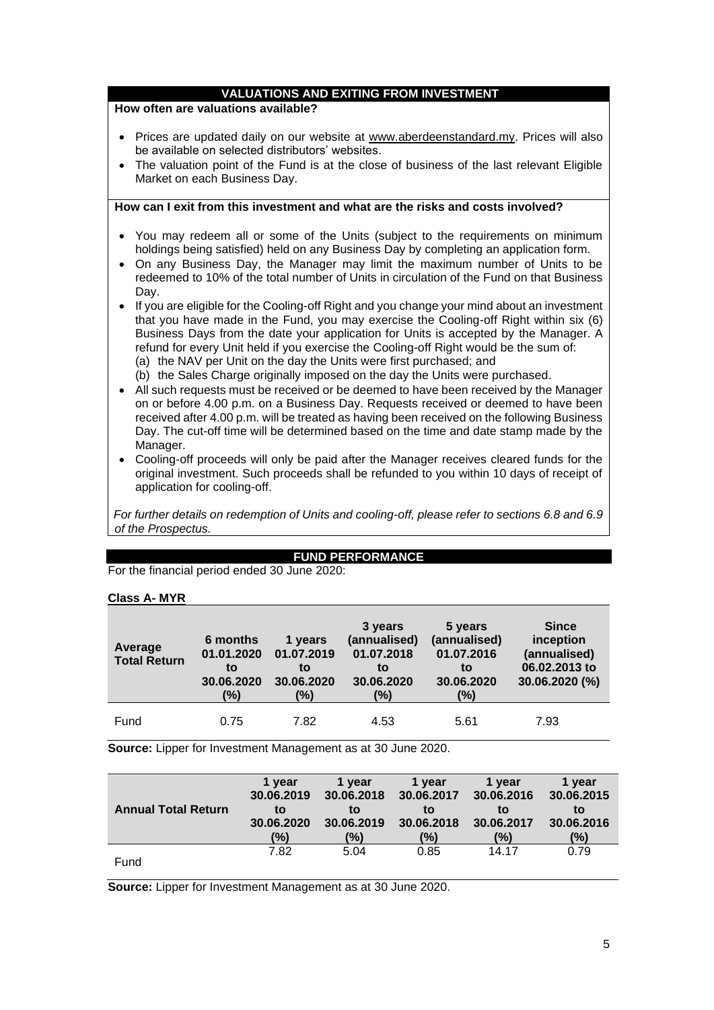# **VALUATIONS AND EXITING FROM INVESTMENT**

#### **How often are valuations available?**

- Prices are updated daily on our website at [www.aberdeenstandard.my.](http://www.aberdeenstandard.my/) Prices will also be available on selected distributors' websites.
- The valuation point of the Fund is at the close of business of the last relevant Eligible Market on each Business Day.

### **How can I exit from this investment and what are the risks and costs involved?**

- You may redeem all or some of the Units (subject to the requirements on minimum holdings being satisfied) held on any Business Day by completing an application form.
- On any Business Day, the Manager may limit the maximum number of Units to be redeemed to 10% of the total number of Units in circulation of the Fund on that Business Day.
- If you are eligible for the Cooling-off Right and you change your mind about an investment that you have made in the Fund, you may exercise the Cooling-off Right within six (6) Business Days from the date your application for Units is accepted by the Manager. A refund for every Unit held if you exercise the Cooling-off Right would be the sum of: (a) the NAV per Unit on the day the Units were first purchased; and
	- (b) the Sales Charge originally imposed on the day the Units were purchased.
- All such requests must be received or be deemed to have been received by the Manager on or before 4.00 p.m. on a Business Day. Requests received or deemed to have been received after 4.00 p.m. will be treated as having been received on the following Business Day. The cut-off time will be determined based on the time and date stamp made by the Manager.
- Cooling-off proceeds will only be paid after the Manager receives cleared funds for the original investment. Such proceeds shall be refunded to you within 10 days of receipt of application for cooling-off.

*For further details on redemption of Units and cooling-off, please refer to sections 6.8 and 6.9 of the Prospectus.*

### **FUND PERFORMANCE**

For the financial period ended 30 June 2020:

#### **Class A- MYR**

| Average<br><b>Total Return</b> | 6 months<br>01.01.2020<br>to<br>30.06.2020<br>(%) | 1 years<br>01.07.2019<br>to<br>30.06.2020<br>(%) | 3 years<br>(annualised)<br>01.07.2018<br>to<br>30.06.2020<br>(%) | 5 years<br>(annualised)<br>01.07.2016<br>to<br>30.06.2020<br>(%) | <b>Since</b><br>inception<br>(annualised)<br>06.02.2013 to<br>30.06.2020 (%) |
|--------------------------------|---------------------------------------------------|--------------------------------------------------|------------------------------------------------------------------|------------------------------------------------------------------|------------------------------------------------------------------------------|
| Fund                           | 0.75                                              | 7.82                                             | 4.53                                                             | 5.61                                                             | 7.93                                                                         |

**Source:** Lipper for Investment Management as at 30 June 2020.

|                            | 1 year     | 1 vear     | 1 vear     | 1 vear     | 1 year     |
|----------------------------|------------|------------|------------|------------|------------|
|                            | 30.06.2019 | 30.06.2018 | 30.06.2017 | 30.06.2016 | 30.06.2015 |
| <b>Annual Total Return</b> | to         | to         | to         | to         | to         |
|                            | 30.06.2020 | 30.06.2019 | 30.06.2018 | 30.06.2017 | 30.06.2016 |
|                            | (%)        | (%)        | (%)        | (%)        | (%)        |
|                            | 7.82       | 5.04       | 0.85       | 14.17      | 0.79       |
| Fund                       |            |            |            |            |            |

**Source:** Lipper for Investment Management as at 30 June 2020.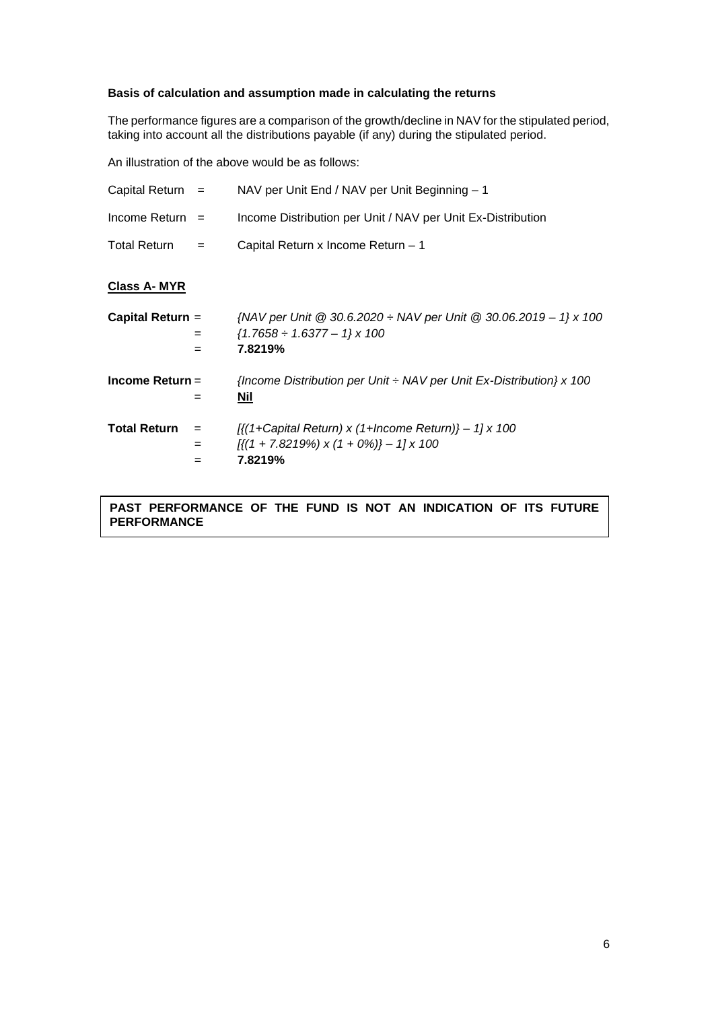# **Basis of calculation and assumption made in calculating the returns**

The performance figures are a comparison of the growth/decline in NAV for the stipulated period, taking into account all the distributions payable (if any) during the stipulated period.

An illustration of the above would be as follows:

| Capital Return $=$                | NAV per Unit End / NAV per Unit Beginning - 1                                                                                                         |
|-----------------------------------|-------------------------------------------------------------------------------------------------------------------------------------------------------|
| Income Return $=$                 | Income Distribution per Unit / NAV per Unit Ex-Distribution                                                                                           |
| <b>Total Return</b><br>$=$        | Capital Return x Income Return - 1                                                                                                                    |
| <b>Class A-MYR</b>                |                                                                                                                                                       |
| Capital Return =<br>$=$<br>$=$    | {NAV per Unit @ 30.6.2020 $\div$ NAV per Unit @ 30.06.2019 - 1} x 100<br>$\{1.7658 \div 1.6377 - 1\} \times 100$<br>7.8219%                           |
| Income Return $=$<br>$=$          | {Income Distribution per Unit $\div$ NAV per Unit Ex-Distribution} x 100<br>Nil                                                                       |
| <b>Total Return</b><br>$=$<br>$=$ | $\left[\frac{1}{2}$ + Capital Return) x (1+Income Return)} - 1] x 100<br>$\left[\frac{1}{1 + 7.8219\%}\right] \times (1 + 0\%)$ – 1] x 100<br>7.8219% |

**PAST PERFORMANCE OF THE FUND IS NOT AN INDICATION OF ITS FUTURE PERFORMANCE**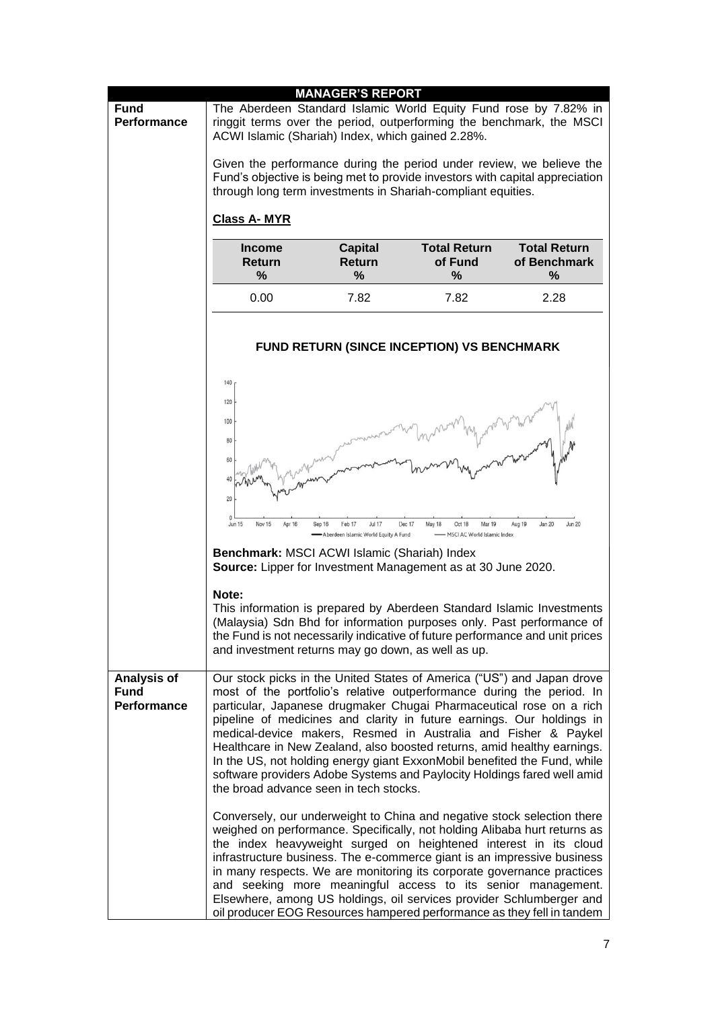|                                           |                                                                                                                                                                                                                                                                                  | <b>MANAGER'S REPORT</b>                                                   |                                                                       |                                                                                                                                                                                                                                                                                                                                                                                                                                                                                                                                                                                                     |
|-------------------------------------------|----------------------------------------------------------------------------------------------------------------------------------------------------------------------------------------------------------------------------------------------------------------------------------|---------------------------------------------------------------------------|-----------------------------------------------------------------------|-----------------------------------------------------------------------------------------------------------------------------------------------------------------------------------------------------------------------------------------------------------------------------------------------------------------------------------------------------------------------------------------------------------------------------------------------------------------------------------------------------------------------------------------------------------------------------------------------------|
| <b>Fund</b><br><b>Performance</b>         | ACWI Islamic (Shariah) Index, which gained 2.28%.                                                                                                                                                                                                                                |                                                                           |                                                                       | The Aberdeen Standard Islamic World Equity Fund rose by 7.82% in<br>ringgit terms over the period, outperforming the benchmark, the MSCI                                                                                                                                                                                                                                                                                                                                                                                                                                                            |
|                                           | through long term investments in Shariah-compliant equities.                                                                                                                                                                                                                     |                                                                           |                                                                       | Given the performance during the period under review, we believe the<br>Fund's objective is being met to provide investors with capital appreciation                                                                                                                                                                                                                                                                                                                                                                                                                                                |
|                                           | <b>Class A-MYR</b>                                                                                                                                                                                                                                                               |                                                                           |                                                                       |                                                                                                                                                                                                                                                                                                                                                                                                                                                                                                                                                                                                     |
|                                           | <b>Income</b><br><b>Return</b><br>%                                                                                                                                                                                                                                              | <b>Capital</b><br><b>Return</b><br>%                                      | <b>Total Return</b><br>of Fund<br>%                                   | <b>Total Return</b><br>of Benchmark<br>%                                                                                                                                                                                                                                                                                                                                                                                                                                                                                                                                                            |
|                                           | 0.00                                                                                                                                                                                                                                                                             | 7.82                                                                      | 7.82                                                                  | 2.28                                                                                                                                                                                                                                                                                                                                                                                                                                                                                                                                                                                                |
|                                           |                                                                                                                                                                                                                                                                                  |                                                                           | <b>FUND RETURN (SINCE INCEPTION) VS BENCHMARK</b>                     |                                                                                                                                                                                                                                                                                                                                                                                                                                                                                                                                                                                                     |
|                                           | 140<br>120<br>100<br>80<br>60<br>40<br>20<br>$\Omega$<br><b>Jun 15</b><br>Nov 15<br>Apr 16<br>Benchmark: MSCI ACWI Islamic (Shariah) Index<br><b>Source:</b> Lipper for Investment Management as at 30 June 2020.<br>Note:<br>and investment returns may go down, as well as up. | Feb 17<br><b>Jul 17</b><br>Sep 16<br>Aberdeen Islamic World Equity A Fund | Dec 17<br>May 18<br>Oct 18<br>Mar 19<br>- MSCI AC World Islamic Index | Aug 19<br>Jan 20<br><b>Jun 20</b><br>This information is prepared by Aberdeen Standard Islamic Investments<br>(Malaysia) Sdn Bhd for information purposes only. Past performance of<br>the Fund is not necessarily indicative of future performance and unit prices                                                                                                                                                                                                                                                                                                                                 |
| Analysis of<br><b>Fund</b><br>Performance | the broad advance seen in tech stocks.                                                                                                                                                                                                                                           |                                                                           |                                                                       | Our stock picks in the United States of America ("US") and Japan drove<br>most of the portfolio's relative outperformance during the period. In<br>particular, Japanese drugmaker Chugai Pharmaceutical rose on a rich<br>pipeline of medicines and clarity in future earnings. Our holdings in<br>medical-device makers, Resmed in Australia and Fisher & Paykel<br>Healthcare in New Zealand, also boosted returns, amid healthy earnings.<br>In the US, not holding energy giant ExxonMobil benefited the Fund, while<br>software providers Adobe Systems and Paylocity Holdings fared well amid |
|                                           |                                                                                                                                                                                                                                                                                  |                                                                           |                                                                       | Conversely, our underweight to China and negative stock selection there<br>weighed on performance. Specifically, not holding Alibaba hurt returns as<br>the index heavyweight surged on heightened interest in its cloud<br>infrastructure business. The e-commerce giant is an impressive business<br>in many respects. We are monitoring its corporate governance practices<br>and seeking more meaningful access to its senior management.<br>Elsewhere, among US holdings, oil services provider Schlumberger and<br>oil producer EOG Resources hampered performance as they fell in tandem     |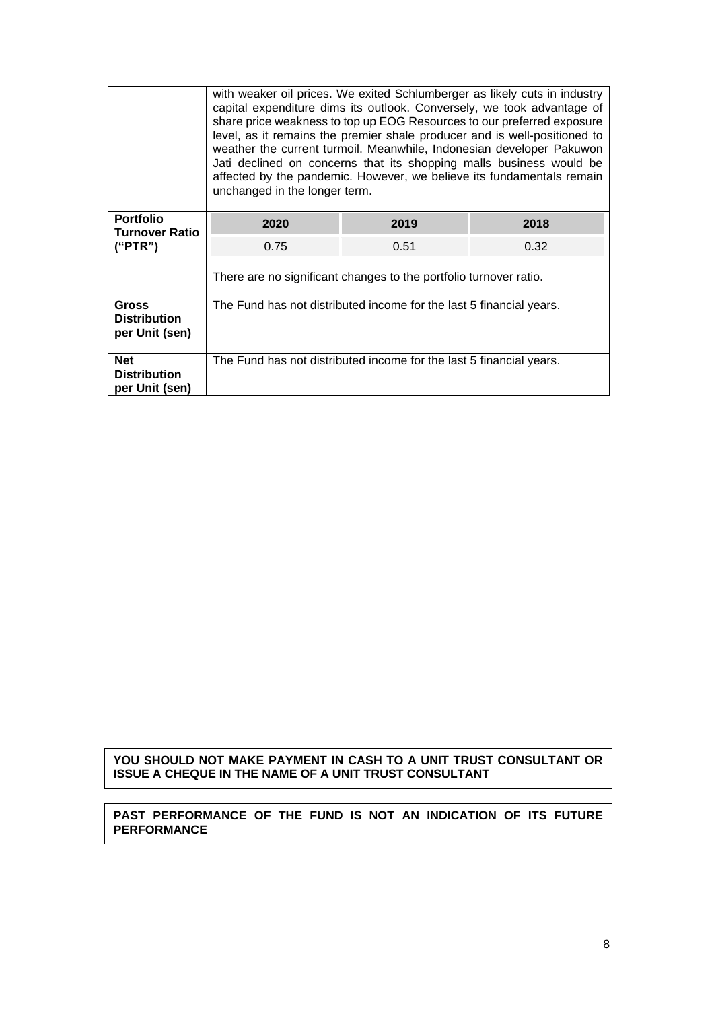|                                                       | with weaker oil prices. We exited Schlumberger as likely cuts in industry<br>capital expenditure dims its outlook. Conversely, we took advantage of<br>share price weakness to top up EOG Resources to our preferred exposure<br>level, as it remains the premier shale producer and is well-positioned to<br>weather the current turmoil. Meanwhile, Indonesian developer Pakuwon<br>Jati declined on concerns that its shopping malls business would be<br>affected by the pandemic. However, we believe its fundamentals remain<br>unchanged in the longer term. |      |      |  |
|-------------------------------------------------------|---------------------------------------------------------------------------------------------------------------------------------------------------------------------------------------------------------------------------------------------------------------------------------------------------------------------------------------------------------------------------------------------------------------------------------------------------------------------------------------------------------------------------------------------------------------------|------|------|--|
| <b>Portfolio</b><br><b>Turnover Ratio</b>             | 2020                                                                                                                                                                                                                                                                                                                                                                                                                                                                                                                                                                | 2019 | 2018 |  |
| ("PTR")                                               | 0.75                                                                                                                                                                                                                                                                                                                                                                                                                                                                                                                                                                | 0.51 | 0.32 |  |
|                                                       | There are no significant changes to the portfolio turnover ratio.                                                                                                                                                                                                                                                                                                                                                                                                                                                                                                   |      |      |  |
| <b>Gross</b><br><b>Distribution</b><br>per Unit (sen) | The Fund has not distributed income for the last 5 financial years.                                                                                                                                                                                                                                                                                                                                                                                                                                                                                                 |      |      |  |
| <b>Net</b><br><b>Distribution</b><br>per Unit (sen)   | The Fund has not distributed income for the last 5 financial years.                                                                                                                                                                                                                                                                                                                                                                                                                                                                                                 |      |      |  |

# **YOU SHOULD NOT MAKE PAYMENT IN CASH TO A UNIT TRUST CONSULTANT OR ISSUE A CHEQUE IN THE NAME OF A UNIT TRUST CONSULTANT**

### **PAST PERFORMANCE OF THE FUND IS NOT AN INDICATION OF ITS FUTURE PERFORMANCE**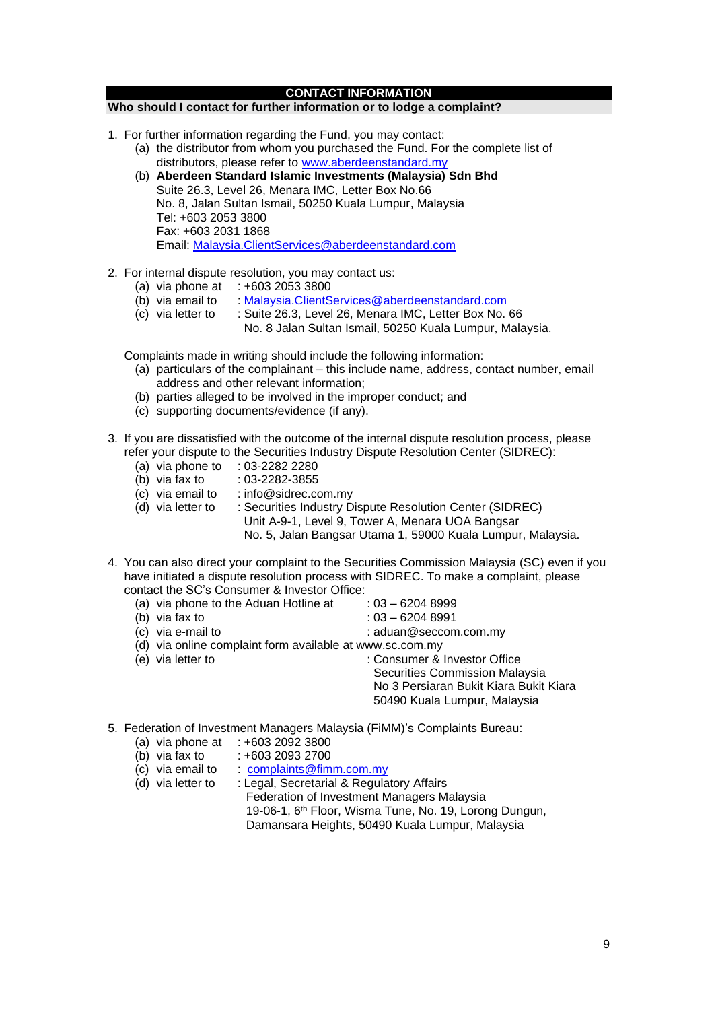#### **CONTACT INFORMATION**

#### **Who should I contact for further information or to lodge a complaint?**

- 1. For further information regarding the Fund, you may contact:
	- (a) the distributor from whom you purchased the Fund. For the complete list of distributors, please refer to [www.aberdeenstandard.my](http://www.aberdeenstandard.my/)
	- (b) **Aberdeen Standard Islamic Investments (Malaysia) Sdn Bhd**  Suite 26.3, Level 26, Menara IMC, Letter Box No.66 No. 8, Jalan Sultan Ismail, 50250 Kuala Lumpur, Malaysia Tel: +603 2053 3800 Fax: +603 2031 1868 Email: [Malaysia.ClientServices@aberdeenstandard.com](mailto:Malaysia.ClientServices@aberdeenstandard.com)
- 2. For internal dispute resolution, you may contact us:
	- (a) via phone at  $\div 60320533800$
	- (b) via email to : [Malaysia.ClientServices@aberdeenstandard.com](mailto:Malaysia.ClientServices@aberdeenstandard.com)
	- (c) via letter to : Suite 26.3, Level 26, Menara IMC, Letter Box No. 66
		- No. 8 Jalan Sultan Ismail, 50250 Kuala Lumpur, Malaysia.

Complaints made in writing should include the following information:

- (a) particulars of the complainant this include name, address, contact number, email address and other relevant information;
- (b) parties alleged to be involved in the improper conduct; and
- (c) supporting documents/evidence (if any).
- 3. If you are dissatisfied with the outcome of the internal dispute resolution process, please refer your dispute to the Securities Industry Dispute Resolution Center (SIDREC):
	- (a) via phone to : 03-2282 2280<br>(b) via fax to : 03-2282-3855
	-
	- (b) via fax to  $(c)$  via email to  $:$  info@sidrec.com.my
	- (d) via letter to : Securities Industry Dispute Resolution Center (SIDREC)
		- Unit A-9-1, Level 9, Tower A, Menara UOA Bangsar

No. 5, Jalan Bangsar Utama 1, 59000 Kuala Lumpur, Malaysia.

4. You can also direct your complaint to the Securities Commission Malaysia (SC) even if you have initiated a dispute resolution process with SIDREC. To make a complaint, please contact the SC's Consumer & Investor Office:

(a) via phone to the Aduan Hotline at  $: 03 - 62048999$ 

- (b) via fax to : 03 6204 8991
- 
- 
- (c) via e-mail to :  $\blacksquare$ : aduan@seccom.com.my
	-
- (d) via online complaint form available at www.sc.com.my
- (e) via letter (e) via letter to : Consumer & Investor Office Securities Commission Malaysia No 3 Persiaran Bukit Kiara Bukit Kiara 50490 Kuala Lumpur, Malaysia
- 5. Federation of Investment Managers Malaysia (FiMM)'s Complaints Bureau:
	- (a) via phone at  $\div 603\ 2092\ 3800$ <br>(b) via fax to  $\div 603\ 2093\ 2700$
	- $: +603$  2093 2700
	- (c) via email to  $\therefore$  complaints @fimm.com.my
	- (d) via letter to : Legal, Secretarial & Regulatory Affairs Federation of Investment Managers Malaysia 19-06-1, 6<sup>th</sup> Floor, Wisma Tune, No. 19, Lorong Dungun, Damansara Heights, 50490 Kuala Lumpur, Malaysia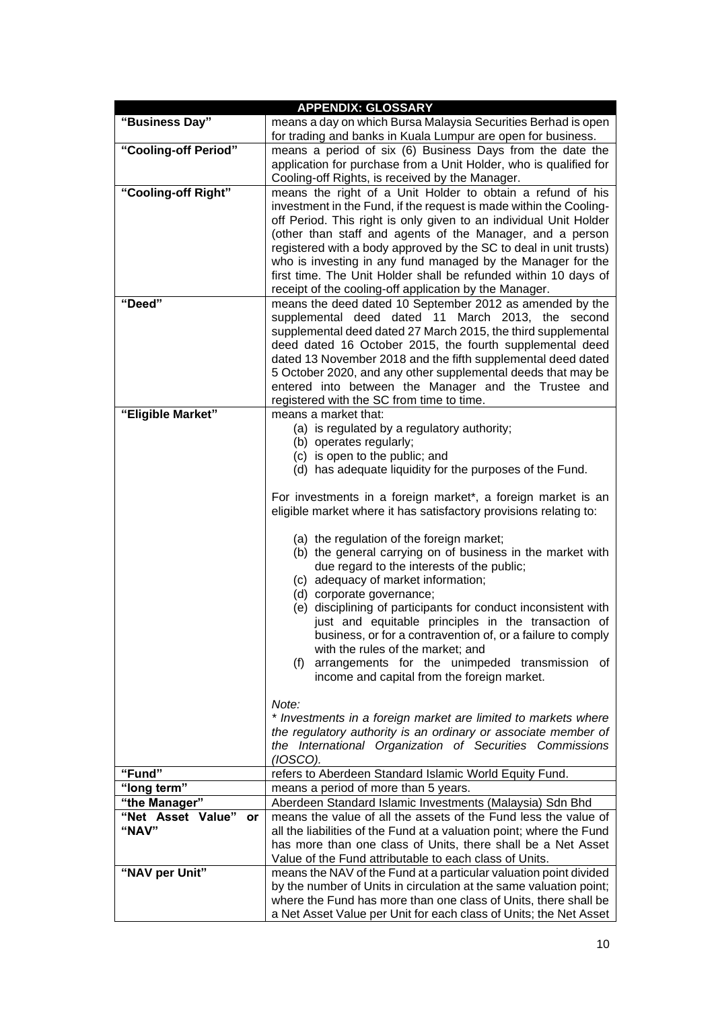|                                | <b>APPENDIX: GLOSSARY</b>                                                                                                               |
|--------------------------------|-----------------------------------------------------------------------------------------------------------------------------------------|
| "Business Day"                 | means a day on which Bursa Malaysia Securities Berhad is open                                                                           |
|                                | for trading and banks in Kuala Lumpur are open for business.                                                                            |
| "Cooling-off Period"           | means a period of six (6) Business Days from the date the                                                                               |
|                                | application for purchase from a Unit Holder, who is qualified for                                                                       |
|                                | Cooling-off Rights, is received by the Manager.                                                                                         |
| "Cooling-off Right"            | means the right of a Unit Holder to obtain a refund of his<br>investment in the Fund, if the request is made within the Cooling-        |
|                                | off Period. This right is only given to an individual Unit Holder                                                                       |
|                                | (other than staff and agents of the Manager, and a person                                                                               |
|                                | registered with a body approved by the SC to deal in unit trusts)                                                                       |
|                                | who is investing in any fund managed by the Manager for the                                                                             |
|                                | first time. The Unit Holder shall be refunded within 10 days of                                                                         |
|                                | receipt of the cooling-off application by the Manager.                                                                                  |
| "Deed"                         | means the deed dated 10 September 2012 as amended by the                                                                                |
|                                | supplemental deed dated 11 March 2013, the second                                                                                       |
|                                | supplemental deed dated 27 March 2015, the third supplemental                                                                           |
|                                | deed dated 16 October 2015, the fourth supplemental deed<br>dated 13 November 2018 and the fifth supplemental deed dated                |
|                                | 5 October 2020, and any other supplemental deeds that may be                                                                            |
|                                | entered into between the Manager and the Trustee and                                                                                    |
|                                | registered with the SC from time to time.                                                                                               |
| "Eligible Market"              | means a market that:                                                                                                                    |
|                                | (a) is regulated by a regulatory authority;                                                                                             |
|                                | (b) operates regularly;                                                                                                                 |
|                                | (c) is open to the public; and                                                                                                          |
|                                | (d) has adequate liquidity for the purposes of the Fund.                                                                                |
|                                | For investments in a foreign market*, a foreign market is an                                                                            |
|                                | eligible market where it has satisfactory provisions relating to:                                                                       |
|                                | (a) the regulation of the foreign market;                                                                                               |
|                                | (b) the general carrying on of business in the market with                                                                              |
|                                | due regard to the interests of the public;                                                                                              |
|                                | (c) adequacy of market information;                                                                                                     |
|                                | (d) corporate governance;                                                                                                               |
|                                | (e) disciplining of participants for conduct inconsistent with                                                                          |
|                                | just and equitable principles in the transaction of<br>business, or for a contravention of, or a failure to comply                      |
|                                | with the rules of the market; and                                                                                                       |
|                                | arrangements for the unimpeded transmission of<br>(f)                                                                                   |
|                                | income and capital from the foreign market.                                                                                             |
|                                |                                                                                                                                         |
|                                | Note:                                                                                                                                   |
|                                | * Investments in a foreign market are limited to markets where                                                                          |
|                                | the regulatory authority is an ordinary or associate member of<br>the International Organization of Securities Commissions              |
|                                | (IOSCO).                                                                                                                                |
| "Fund"                         | refers to Aberdeen Standard Islamic World Equity Fund.                                                                                  |
| "long term"                    | means a period of more than 5 years.                                                                                                    |
| "the Manager"                  | Aberdeen Standard Islamic Investments (Malaysia) Sdn Bhd                                                                                |
| "Net Asset Value"<br><b>or</b> | means the value of all the assets of the Fund less the value of                                                                         |
| "NAV"                          | all the liabilities of the Fund at a valuation point; where the Fund                                                                    |
|                                | has more than one class of Units, there shall be a Net Asset                                                                            |
| "NAV per Unit"                 | Value of the Fund attributable to each class of Units.                                                                                  |
|                                | means the NAV of the Fund at a particular valuation point divided<br>by the number of Units in circulation at the same valuation point; |
|                                | where the Fund has more than one class of Units, there shall be                                                                         |
|                                | a Net Asset Value per Unit for each class of Units; the Net Asset                                                                       |